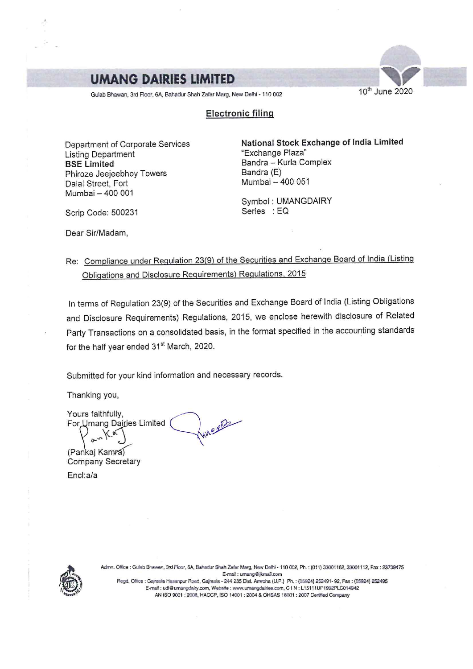# **UMANG DAIRIES LIMITED**

Gulab Bhawan, 3rd Floor, 6A, Bahadur Shah Zafar Marg, New Delhi - 110 002 10 10 10 10 10 10 10 10 2020

## Electronic filing

Listing Department BSE Limited Bandra – Kurla Complex<br>
Phiroze Jeejeebhov Towers Bandra (E) Phiroze Jeejeebhoy Towers Bandra (E) Dalal Street, Fort Mumbai – 400 001 Symbol : UMANGDAIRY

Department of Corporate Services<br>
I isting Department<br>
"Exchange Plaza"

Scrip Code: 500231 Series : EQ

Dear Sir/Madam,

## Re: Compliance under Requlation 23(9) of the Securities and Exchange Board of India (Listing Obligations and Disclosure Requirements) Regulations, 2015

In terms of Regulation 23(9) of the Securities and Exchange Board of India (Listing Obligations and Disclosure Requirements) Regulations, 2015, we enclose herewith disclosure of Related Party Transactions on a consolidated basis, in the format specified in the accounting standards for the half year ended 31<sup>st</sup> March, 2020.

Submitted for your kind information and necessary records.

Thanking you,

Yours faithfully, .<br>For Umang Dairies Limited<br>For Umang Dairies Limited urs faithfully,<br>Umang Dairies Limited<br>Cashell Care Reserved Cashell

(Pankaj Kamra) Company Secretary Encl:a/a

Adin, Office : Gulab Bhawan, 3rd Floor, 6A, Bahadur Shah Zafar Marg, New Delhi - 110 002, Ph. : (014) 33001162, 33001112, Fax : 23799475 Bey, E-mail: umang @jkmail.com

' Regd. Office : Gajraula Hasanpur Read, Gajraula - <sup>244</sup> <sup>235</sup> Dist. Arnroha (U.P.) Ph.: (05924) 252401- 92, Fax : (05924) <sup>252495</sup> E-mail: udl@umangdairy.com, Website: www.umangdairies.com, C I N : L15111UP1992PLC014942 Extra = current current plumpton, website AN ISO 9001 : 2008, HACCP, ISO 14001 : 2004 & OHSAS 18001 : 2007 Certified Company